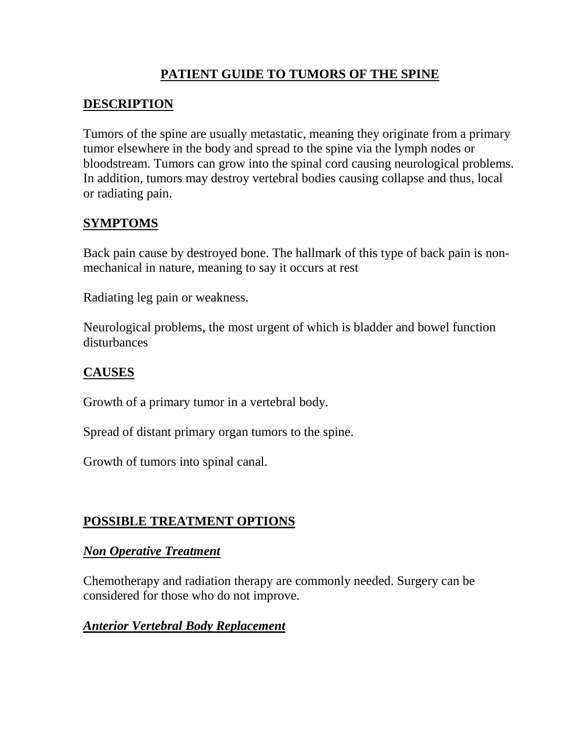# **PATIENT GUIDE TO TUMORS OF THE SPINE**

## **DESCRIPTION**

Tumors of the spine are usually metastatic, meaning they originate from a primary tumor elsewhere in the body and spread to the spine via the lymph nodes or bloodstream. Tumors can grow into the spinal cord causing neurological problems. In addition, tumors may destroy vertebral bodies causing collapse and thus, local or radiating pain.

# **SYMPTOMS**

Back pain cause by destroyed bone. The hallmark of this type of back pain is nonmechanical in nature, meaning to say it occurs at rest

Radiating leg pain or weakness.

Neurological problems, the most urgent of which is bladder and bowel function disturbances

## **CAUSES**

Growth of a primary tumor in a vertebral body.

Spread of distant primary organ tumors to the spine.

Growth of tumors into spinal canal.

# **POSSIBLE TREATMENT OPTIONS**

#### *Non Operative Treatment*

Chemotherapy and radiation therapy are commonly needed. Surgery can be considered for those who do not improve.

#### *Anterior Vertebral Body Replacement*